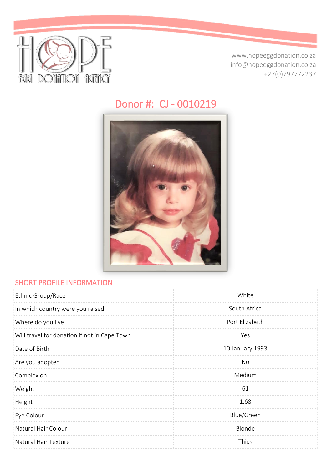

www.hopeeggdonation.co.za info@hopeeggdonation.co.za +27(0)797772237

# Donor #: CJ - 0010219



#### **SHORT PROFILE INFORMATION**

| Ethnic Group/Race                            | White           |
|----------------------------------------------|-----------------|
| In which country were you raised             | South Africa    |
| Where do you live                            | Port Elizabeth  |
| Will travel for donation if not in Cape Town | Yes             |
| Date of Birth                                | 10 January 1993 |
| Are you adopted                              | <b>No</b>       |
| Complexion                                   | Medium          |
| Weight                                       | 61              |
| Height                                       | 1.68            |
| Eye Colour                                   | Blue/Green      |
| Natural Hair Colour                          | Blonde          |
| Natural Hair Texture                         | Thick           |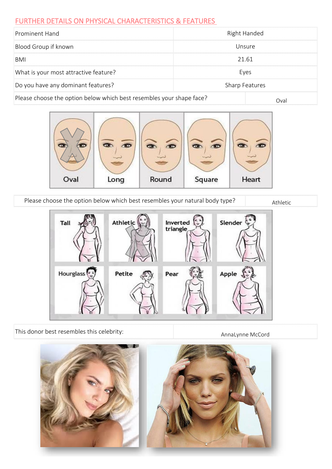#### FURTHER DETAILS ON PHYSICAL CHARACTERISTICS & FEATURES

| Prominent Hand                                                       | Right Handed |  |
|----------------------------------------------------------------------|--------------|--|
| Blood Group if known                                                 | Unsure       |  |
| BMI                                                                  | 21.61        |  |
| What is your most attractive feature?                                | Eyes         |  |
| Do you have any dominant features?<br><b>Sharp Features</b>          |              |  |
| Please choose the option below which best resembles your shape face? | Oval         |  |



Please choose the option below which best resembles your natural body type? Athletic



This donor best resembles this celebrity:

AnnaLynne McCord

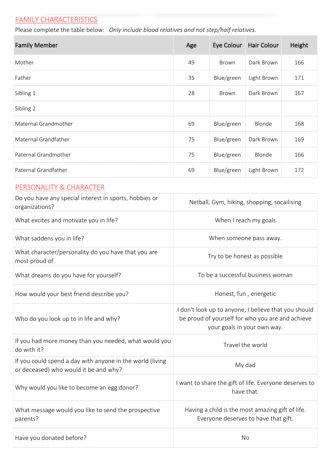## **FAMILY CHARACTERISTICS**

Please complete the table below: *Only include blood relatives and not step/half relatives.*

| <b>Family Member</b>                                                                               | Age                                                                                                                                     | Eye Colour   | <b>Hair Colour</b>                          | Height |
|----------------------------------------------------------------------------------------------------|-----------------------------------------------------------------------------------------------------------------------------------------|--------------|---------------------------------------------|--------|
| Mother                                                                                             | 49                                                                                                                                      | <b>Brown</b> | Dark Brown                                  | 166    |
| Father                                                                                             | 35                                                                                                                                      | Blue/green   | Light Brown                                 | 171    |
| Sibling 1                                                                                          | 28                                                                                                                                      | Brown        | Dark Brown                                  | 167    |
| Sibling 2                                                                                          |                                                                                                                                         |              |                                             |        |
| Maternal Grandmother                                                                               | 69                                                                                                                                      | Blue/green   | Blonde                                      | 168    |
| Maternal Grandfather                                                                               | 75                                                                                                                                      | Blue/green   | Dark Brown                                  | 169    |
| Paternal Grandmother                                                                               | 75                                                                                                                                      | Blue/green   | Blonde                                      | 166    |
| Paternal Grandfather                                                                               | 69                                                                                                                                      | Blue/green   | Light Brown                                 | 172    |
| <b>PERSONALITY &amp; CHARACTER</b>                                                                 |                                                                                                                                         |              |                                             |        |
| Do you have any special interest in sports, hobbies or<br>organizations?                           |                                                                                                                                         |              | Netball, Gym, hiking, shopping, socailising |        |
| What excites and motivate you in life?                                                             | When I reach my goals                                                                                                                   |              |                                             |        |
| What saddens you in life?                                                                          | When someone pass away.                                                                                                                 |              |                                             |        |
| What character/personality do you have that you are<br>most proud of                               | Try to be honest as possible                                                                                                            |              |                                             |        |
| What dreams do you have for yourself?                                                              | To be a successful business woman                                                                                                       |              |                                             |        |
| How would your best friend describe you?                                                           | Honest, fun, energetic                                                                                                                  |              |                                             |        |
| Who do you look up to in life and why?                                                             | I don't look up to anyone, I believe that you should<br>be proud of yourself for who you are and achieve<br>your goals in your own way. |              |                                             |        |
| If you had more money than you needed, what would you<br>do with it?                               | Travel the world                                                                                                                        |              |                                             |        |
| If you could spend a day with anyone in the world (living<br>or deceased) who would it be and why? | My dad                                                                                                                                  |              |                                             |        |
| Why would you like to become an egg donor?                                                         | I want to share the gift of life. Everyone deserves to<br>have that.                                                                    |              |                                             |        |
| What message would you like to send the prospective<br>parents?                                    | Having a child is the most amazing gift of life.<br>Everyone deserves to have that gift.                                                |              |                                             |        |

Have you donated before?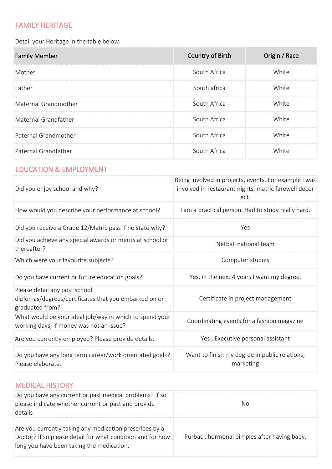# FAMILY HERITAGE

Detail your Heritage in the table below:

| <b>Family Member</b> | Country of Birth | Origin / Race |
|----------------------|------------------|---------------|
| Mother               | South Africa     | White         |
| Father               | South africa     | White         |
| Maternal Grandmother | South Africa     | White         |
| Maternal Grandfather | South Africa     | White         |
| Paternal Grandmother | South Africa     | White         |
| Paternal Grandfather | South Africa     | White         |

# EDUCATION & EMPLOYMENT

| Did you enjoy school and why?                                                                             | Being involved in projects, events. For example I was<br>involved in restaurant nights, matric farewell decor<br>ect. |
|-----------------------------------------------------------------------------------------------------------|-----------------------------------------------------------------------------------------------------------------------|
| How would you describe your performance at school?                                                        | I am a practical person. Had to study really hard.                                                                    |
| Did you receive a Grade 12/Matric pass If no state why?                                                   | Yes                                                                                                                   |
| Did you achieve any special awards or merits at school or<br>thereafter?                                  | Netball national team                                                                                                 |
| Which were your favourite subjects?                                                                       | Computer studies                                                                                                      |
| Do you have current or future education goals?                                                            | Yes, in the next 4 years I want my degree.                                                                            |
| Please detail any post school<br>diplomas/degrees/certificates that you embarked on or<br>graduated from? | Certificate in project management                                                                                     |
| What would be your ideal job/way in which to spend your<br>working days, if money was not an issue?       | Coordinating events for a fashion magazine                                                                            |
| Are you currently employed? Please provide details.                                                       | Yes, Executive personal assistant                                                                                     |
| Do you have any long term career/work orientated goals?<br>Please elaborate.                              | Want to finish my degree in public relations,<br>marketing                                                            |

## MEDICAL HISTORY

| Do you have any current or past medical problems? If so<br>please indicate whether current or past and provide<br>details                                          | No                                          |
|--------------------------------------------------------------------------------------------------------------------------------------------------------------------|---------------------------------------------|
| Are you currently taking any medication prescribes by a<br>Doctor? If so please detail for what condition and for how<br>long you have been taking the medication. | Purbac, hormonal pimples after having baby. |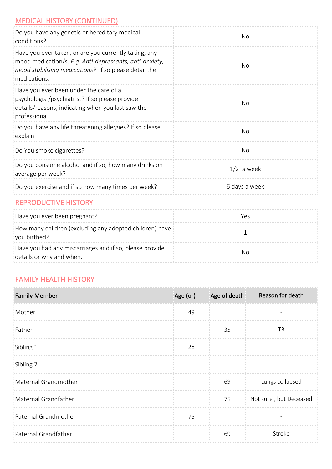## MEDICAL HISTORY (CONTINUED)

| Do you have any genetic or hereditary medical<br>conditions?                                                                                                                              | No            |
|-------------------------------------------------------------------------------------------------------------------------------------------------------------------------------------------|---------------|
| Have you ever taken, or are you currently taking, any<br>mood medication/s. E.g. Anti-depressants, anti-anxiety,<br>mood stabilising medications? If so please detail the<br>medications. | No            |
| Have you ever been under the care of a<br>psychologist/psychiatrist? If so please provide<br>details/reasons, indicating when you last saw the<br>professional                            | No            |
| Do you have any life threatening allergies? If so please<br>explain.                                                                                                                      | No            |
| Do You smoke cigarettes?                                                                                                                                                                  | No            |
| Do you consume alcohol and if so, how many drinks on<br>average per week?                                                                                                                 | $1/2$ a week  |
| Do you exercise and if so how many times per week?                                                                                                                                        | 6 days a week |

#### REPRODUCTIVE HISTORY

| Have you ever been pregnant?                                                        | Yes |
|-------------------------------------------------------------------------------------|-----|
| How many children (excluding any adopted children) have<br>you birthed?             |     |
| Have you had any miscarriages and if so, please provide<br>details or why and when. | Nο  |

## **FAMILY HEALTH HISTORY**

| <b>Family Member</b> | Age (or) | Age of death | Reason for death         |
|----------------------|----------|--------------|--------------------------|
| Mother               | 49       |              |                          |
| Father               |          | 35           | TB                       |
| Sibling 1            | 28       |              | $\overline{\phantom{a}}$ |
| Sibling 2            |          |              |                          |
| Maternal Grandmother |          | 69           | Lungs collapsed          |
| Maternal Grandfather |          | 75           | Not sure, but Deceased   |
| Paternal Grandmother | 75       |              |                          |
| Paternal Grandfather |          | 69           | Stroke                   |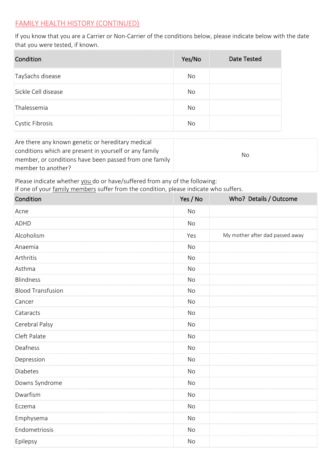#### FAMILY HEALTH HISTORY (CONTINUED)

If you know that you are a Carrier or Non-Carrier of the conditions below, please indicate below with the date that you were tested, if known.

| Condition           | Yes/No | <b>Date Tested</b> |
|---------------------|--------|--------------------|
| TaySachs disease    | N٥     |                    |
| Sickle Cell disease | N٥     |                    |
| Thalessemia         | N٥     |                    |
| Cystic Fibrosis     | Nο     |                    |

| Are there any known genetic or hereditary medical      |     |  |
|--------------------------------------------------------|-----|--|
| conditions which are present in yourself or any family |     |  |
| member, or conditions have been passed from one family | No. |  |
| member to another?                                     |     |  |

Please indicate whether you do or have/suffered from any of the following:

If one of your family members suffer from the condition, please indicate who suffers.

| Condition                | Yes / No  | Who? Details / Outcome          |
|--------------------------|-----------|---------------------------------|
| Acne                     | <b>No</b> |                                 |
| <b>ADHD</b>              | <b>No</b> |                                 |
| Alcoholism               | Yes       | My mother after dad passed away |
| Anaemia                  | <b>No</b> |                                 |
| Arthritis                | <b>No</b> |                                 |
| Asthma                   | <b>No</b> |                                 |
| <b>Blindness</b>         | <b>No</b> |                                 |
| <b>Blood Transfusion</b> | <b>No</b> |                                 |
| Cancer                   | <b>No</b> |                                 |
| Cataracts                | No        |                                 |
| Cerebral Palsy           | <b>No</b> |                                 |
| Cleft Palate             | <b>No</b> |                                 |
| Deafness                 | <b>No</b> |                                 |
| Depression               | <b>No</b> |                                 |
| <b>Diabetes</b>          | No        |                                 |
| Downs Syndrome           | <b>No</b> |                                 |
| Dwarfism                 | <b>No</b> |                                 |
| Eczema                   | <b>No</b> |                                 |
| Emphysema                | <b>No</b> |                                 |
| Endometriosis            | <b>No</b> |                                 |
| Epilepsy                 | <b>No</b> |                                 |